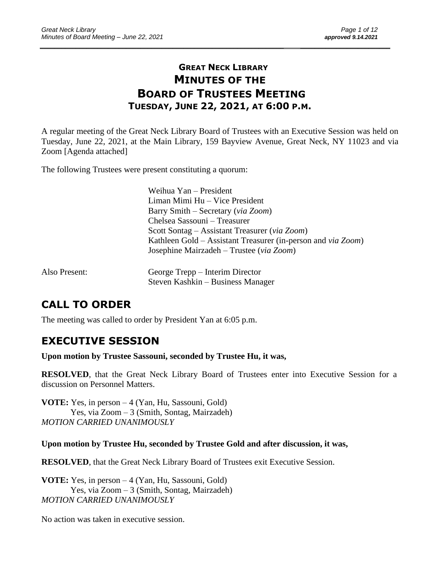# **GREAT NECK LIBRARY MINUTES OF THE BOARD OF TRUSTEES MEETING TUESDAY, JUNE 22, 2021, AT 6:00 P.M.**

\_\_\_\_\_\_\_\_\_\_\_\_\_\_\_\_\_\_\_\_\_\_\_\_\_\_\_\_\_\_\_\_\_\_\_\_\_\_\_\_\_\_\_\_\_\_\_\_\_\_\_\_\_\_\_\_\_\_\_\_\_\_\_\_\_\_\_\_ \_\_\_\_\_\_\_\_\_\_\_\_\_\_\_\_\_\_\_\_\_\_\_\_\_

A regular meeting of the Great Neck Library Board of Trustees with an Executive Session was held on Tuesday, June 22, 2021, at the Main Library, 159 Bayview Avenue, Great Neck, NY 11023 and via Zoom [Agenda attached]

The following Trustees were present constituting a quorum:

Weihua Yan – President Liman Mimi Hu – Vice President Barry Smith – Secretary (*via Zoom*) Chelsea Sassouni – Treasurer Scott Sontag – Assistant Treasurer (*via Zoom*) Kathleen Gold – Assistant Treasurer (in-person and *via Zoom*) Josephine Mairzadeh – Trustee (*via Zoom*)

| Also Present: | George Trepp – Interim Director   |
|---------------|-----------------------------------|
|               | Steven Kashkin – Business Manager |

# **CALL TO ORDER**

The meeting was called to order by President Yan at 6:05 p.m.

# **EXECUTIVE SESSION**

**Upon motion by Trustee Sassouni, seconded by Trustee Hu, it was,**

**RESOLVED**, that the Great Neck Library Board of Trustees enter into Executive Session for a discussion on Personnel Matters.

**VOTE:** Yes, in person – 4 (Yan, Hu, Sassouni, Gold) Yes, via Zoom – 3 (Smith, Sontag, Mairzadeh) *MOTION CARRIED UNANIMOUSLY* 

**Upon motion by Trustee Hu, seconded by Trustee Gold and after discussion, it was,**

**RESOLVED**, that the Great Neck Library Board of Trustees exit Executive Session.

**VOTE:** Yes, in person – 4 (Yan, Hu, Sassouni, Gold) Yes, via Zoom – 3 (Smith, Sontag, Mairzadeh) *MOTION CARRIED UNANIMOUSLY* 

No action was taken in executive session.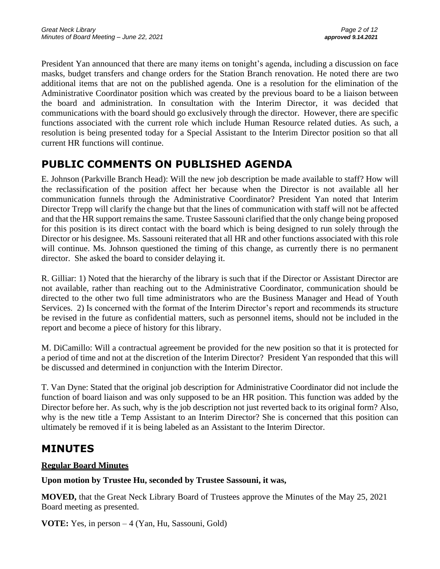President Yan announced that there are many items on tonight's agenda, including a discussion on face masks, budget transfers and change orders for the Station Branch renovation. He noted there are two additional items that are not on the published agenda. One is a resolution for the elimination of the Administrative Coordinator position which was created by the previous board to be a liaison between the board and administration. In consultation with the Interim Director, it was decided that communications with the board should go exclusively through the director. However, there are specific functions associated with the current role which include Human Resource related duties. As such, a resolution is being presented today for a Special Assistant to the Interim Director position so that all current HR functions will continue.

# **PUBLIC COMMENTS ON PUBLISHED AGENDA**

E. Johnson (Parkville Branch Head): Will the new job description be made available to staff? How will the reclassification of the position affect her because when the Director is not available all her communication funnels through the Administrative Coordinator? President Yan noted that Interim Director Trepp will clarify the change but that the lines of communication with staff will not be affected and that the HR support remains the same. Trustee Sassouni clarified that the only change being proposed for this position is its direct contact with the board which is being designed to run solely through the Director or his designee. Ms. Sassouni reiterated that all HR and other functions associated with this role will continue. Ms. Johnson questioned the timing of this change, as currently there is no permanent director. She asked the board to consider delaying it.

R. Gilliar: 1) Noted that the hierarchy of the library is such that if the Director or Assistant Director are not available, rather than reaching out to the Administrative Coordinator, communication should be directed to the other two full time administrators who are the Business Manager and Head of Youth Services. 2) Is concerned with the format of the Interim Director's report and recommends its structure be revised in the future as confidential matters, such as personnel items, should not be included in the report and become a piece of history for this library.

M. DiCamillo: Will a contractual agreement be provided for the new position so that it is protected for a period of time and not at the discretion of the Interim Director? President Yan responded that this will be discussed and determined in conjunction with the Interim Director.

T. Van Dyne: Stated that the original job description for Administrative Coordinator did not include the function of board liaison and was only supposed to be an HR position. This function was added by the Director before her. As such, why is the job description not just reverted back to its original form? Also, why is the new title a Temp Assistant to an Interim Director? She is concerned that this position can ultimately be removed if it is being labeled as an Assistant to the Interim Director.

# **MINUTES**

## **Regular Board Minutes**

## **Upon motion by Trustee Hu, seconded by Trustee Sassouni, it was,**

**MOVED,** that the Great Neck Library Board of Trustees approve the Minutes of the May 25, 2021 Board meeting as presented.

**VOTE:** Yes, in person – 4 (Yan, Hu, Sassouni, Gold)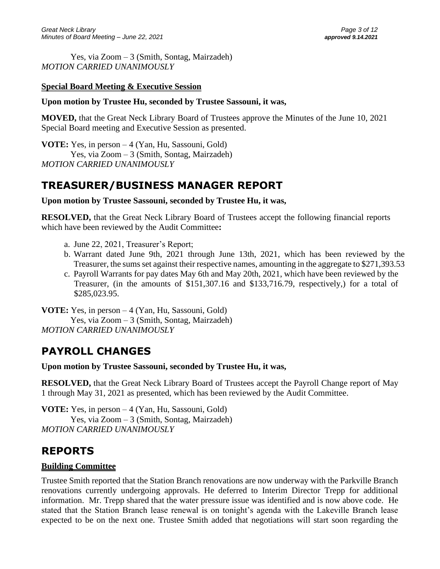Yes, via Zoom – 3 (Smith, Sontag, Mairzadeh) *MOTION CARRIED UNANIMOUSLY* 

#### **Special Board Meeting & Executive Session**

#### **Upon motion by Trustee Hu, seconded by Trustee Sassouni, it was,**

**MOVED,** that the Great Neck Library Board of Trustees approve the Minutes of the June 10, 2021 Special Board meeting and Executive Session as presented.

**VOTE:** Yes, in person – 4 (Yan, Hu, Sassouni, Gold) Yes, via Zoom – 3 (Smith, Sontag, Mairzadeh) *MOTION CARRIED UNANIMOUSLY* 

# **TREASURER/BUSINESS MANAGER REPORT**

#### **Upon motion by Trustee Sassouni, seconded by Trustee Hu, it was,**

**RESOLVED,** that the Great Neck Library Board of Trustees accept the following financial reports which have been reviewed by the Audit Committee**:** 

- a. June 22, 2021, Treasurer's Report;
- b. Warrant dated June 9th, 2021 through June 13th, 2021, which has been reviewed by the Treasurer, the sums set against their respective names, amounting in the aggregate to \$271,393.53
- c. Payroll Warrants for pay dates May 6th and May 20th, 2021, which have been reviewed by the Treasurer, (in the amounts of \$151,307.16 and \$133,716.79, respectively,) for a total of \$285,023.95.

**VOTE:** Yes, in person – 4 (Yan, Hu, Sassouni, Gold) Yes, via Zoom – 3 (Smith, Sontag, Mairzadeh) *MOTION CARRIED UNANIMOUSLY* 

# **PAYROLL CHANGES**

#### **Upon motion by Trustee Sassouni, seconded by Trustee Hu, it was,**

**RESOLVED,** that the Great Neck Library Board of Trustees accept the Payroll Change report of May 1 through May 31, 2021 as presented, which has been reviewed by the Audit Committee.

**VOTE:** Yes, in person – 4 (Yan, Hu, Sassouni, Gold) Yes, via Zoom – 3 (Smith, Sontag, Mairzadeh) *MOTION CARRIED UNANIMOUSLY* 

# **REPORTS**

#### **Building Committee**

Trustee Smith reported that the Station Branch renovations are now underway with the Parkville Branch renovations currently undergoing approvals. He deferred to Interim Director Trepp for additional information. Mr. Trepp shared that the water pressure issue was identified and is now above code. He stated that the Station Branch lease renewal is on tonight's agenda with the Lakeville Branch lease expected to be on the next one. Trustee Smith added that negotiations will start soon regarding the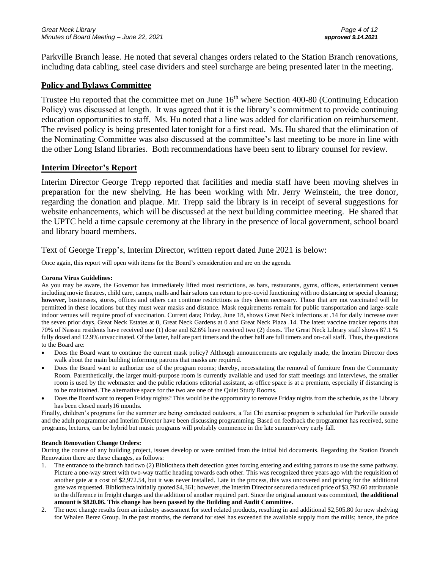Parkville Branch lease. He noted that several changes orders related to the Station Branch renovations, including data cabling, steel case dividers and steel surcharge are being presented later in the meeting.

#### **Policy and Bylaws Committee**

Trustee Hu reported that the committee met on June 16<sup>th</sup> where Section 400-80 (Continuing Education Policy) was discussed at length. It was agreed that it is the library's commitment to provide continuing education opportunities to staff. Ms. Hu noted that a line was added for clarification on reimbursement. The revised policy is being presented later tonight for a first read. Ms. Hu shared that the elimination of the Nominating Committee was also discussed at the committee's last meeting to be more in line with the other Long Island libraries. Both recommendations have been sent to library counsel for review.

#### **Interim Director's Report**

Interim Director George Trepp reported that facilities and media staff have been moving shelves in preparation for the new shelving. He has been working with Mr. Jerry Weinstein, the tree donor, regarding the donation and plaque. Mr. Trepp said the library is in receipt of several suggestions for website enhancements, which will be discussed at the next building committee meeting. He shared that the UPTC held a time capsule ceremony at the library in the presence of local government, school board and library board members.

#### Text of George Trepp's, Interim Director, written report dated June 2021 is below:

Once again, this report will open with items for the Board's consideration and are on the agenda.

#### **Corona Virus Guidelines:**

As you may be aware, the Governor has immediately lifted most restrictions, as bars, restaurants, gyms, offices, entertainment venues including movie theatres, child care, camps, malls and hair salons can return to pre-covid functioning with no distancing or special cleaning; **however,** businesses, stores, offices and others can continue restrictions as they deem necessary. Those that are not vaccinated will be permitted in these locations but they must wear masks and distance. Mask requirements remain for public transportation and large-scale indoor venues will require proof of vaccination. Current data; Friday, June 18, shows Great Neck infections at .14 for daily increase over the seven prior days, Great Neck Estates at 0, Great Neck Gardens at 0 and Great Neck Plaza .14. The latest vaccine tracker reports that 70% of Nassau residents have received one (1) dose and 62.6% have received two (2) doses. The Great Neck Library staff shows 87.1 % fully dosed and 12.9% unvaccinated. Of the latter, half are part timers and the other half are full timers and on-call staff. Thus, the questions to the Board are:

- Does the Board want to continue the current mask policy? Although announcements are regularly made, the Interim Director does walk about the main building informing patrons that masks are required.
- Does the Board want to authorize use of the program rooms; thereby, necessitating the removal of furniture from the Community Room. Parenthetically, the larger multi-purpose room is currently available and used for staff meetings and interviews, the smaller room is used by the webmaster and the public relations editorial assistant, as office space is at a premium, especially if distancing is to be maintained. The alternative space for the two are one of the Quiet Study Rooms.
- Does the Board want to reopen Friday nights? This would be the opportunity to remove Friday nights from the schedule, as the Library has been closed nearly16 months.

Finally, children's programs for the summer are being conducted outdoors, a Tai Chi exercise program is scheduled for Parkville outside and the adult programmer and Interim Director have been discussing programming. Based on feedback the programmer has received, some programs, lectures, can be hybrid but music programs will probably commence in the late summer/very early fall.

#### **Branch Renovation Change Orders:**

During the course of any building project, issues develop or were omitted from the initial bid documents. Regarding the Station Branch Renovation there are these changes, as follows:

- 1. The entrance to the branch had two (2) Bibliotheca theft detection gates forcing entering and exiting patrons to use the same pathway. Picture a one-way street with two-way traffic heading towards each other. This was recognized three years ago with the requisition of another gate at a cost of \$2,972.54, but it was never installed. Late in the process, this was uncovered and pricing for the additional gate was requested. Bibliotheca initially quoted \$4,361; however, the Interim Director secured a reduced price of \$3,792.60 attributable to the difference in freight charges and the addition of another required part. Since the original amount was committed, **the additional amount is \$820.06. This change has been passed by the Building and Audit Committee.**
- 2. The next change results from an industry assessment for steel related products**,** resulting in and additional \$2,505.80 for new shelving for Whalen Berez Group. In the past months, the demand for steel has exceeded the available supply from the mills; hence, the price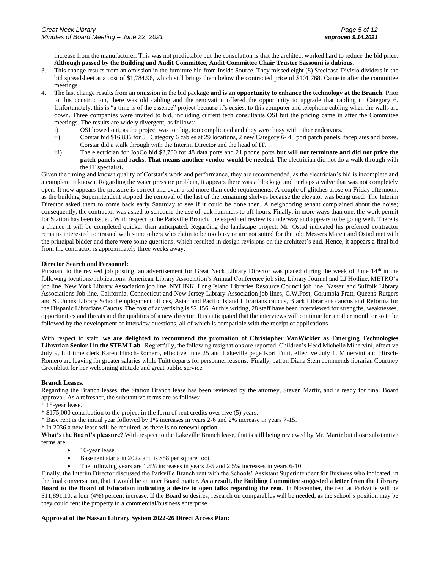increase from the manufacturer. This was not predictable but the consolation is that the architect worked hard to reduce the bid price. **Although passed by the Building and Audit Committee, Audit Committee Chair Trustee Sassouni is dubious**.

- 3. This change results from an omission in the furniture bid from Inside Source. They missed eight (8) Steelcase Divisio dividers in the bid spreadsheet at a cost of \$1,784.96, which still brings them below the contracted price of \$101,768. Came in after the committee meetings
- 4. The last change results from an omission in the bid package **and is an opportunity to enhance the technology at the Branch**. Prior to this construction, there was old cabling and the renovation offered the opportunity to upgrade that cabling to Category 6. Unfortunately, this is "a time is of the essence" project because it's easiest to this computer and telephone cabling when the walls are down. Three companies were invited to bid, including current tech consultants OSI but the pricing came in after the Committee meetings. The results are widely divergent, as follows:
	- i) OSI bowed out, as the project was too big, too complicated and they were busy with other endeavors.
	- ii) Corstar bid \$16,836 for 53 Category 6 cables at 29 locations, 2 new Category 6- 48 port patch panels, faceplates and boxes. Corstar did a walk through with the Interim Director and the head of IT.
	- iii) The electrician for JobCo bid \$2,700 for 48 data ports and 21 phone ports **but will not terminate and did not price the patch panels and racks. That means another vendor would be needed.** The electrician did not do a walk through with the IT specialist.

Given the timing and known quality of Corstar's work and performance, they are recommended, as the electrician's bid is incomplete and a complete unknown. Regarding the water pressure problem, it appears there was a blockage and perhaps a valve that was not completely open. It now appears the pressure is correct and even a tad more than code requirements. A couple of glitches arose on Friday afternoon, as the building Superintendent stopped the removal of the last of the remaining shelves because the elevator was being used. The Interim Director asked them to come back early Saturday to see if it could be done then. A neighboring tenant complained about the noise; consequently, the contractor was asked to schedule the use of jack hammers to off hours. Finally, in more ways than one, the work permit for Station has been issued. With respect to the Parkville Branch, the expedited review is underway and appears to be going well. There is a chance it will be completed quicker than anticipated. Regarding the landscape project, Mr. Ostad indicated his preferred contractor remains interested contrasted with some others who claim to be too busy or are not suited for the job. Messers Marett and Ostad met with the principal bidder and there were some questions, which resulted in design revisions on the architect's end. Hence, it appears a final bid from the contractor is approximately three weeks away.

#### **Director Search and Personnel:**

Pursuant to the revised job posting, an advertisement for Great Neck Library Director was placed during the week of June 14<sup>th</sup> in the following locations/publications: American Library Association's Annual Conference job site, Library Journal and LJ Hotline, METRO's job line, New York Library Association job line, NYLINK, Long Island Libraries Resource Council job line, Nassau and Suffolk Library Associations Job line, California, Connecticut and New Jersey Library Association job lines, C.W.Post, Columbia Pratt, Queens Rutgers and St. Johns Library School employment offices, Asian and Pacific Island Librarians caucus, Black Librarians caucus and Reforma for the Hispanic Librarians Caucus. The cost of advertising is \$2,156. At this writing, 28 staff have been interviewed for strengths, weaknesses, opportunities and threats and the qualities of a new director. It is anticipated that the interviews will continue for another month or so to be followed by the development of interview questions, all of which is compatible with the receipt of applications

With respect to staff, **we are delighted to recommend the promotion of Christopher VanWickler as Emerging Technologies Librarian Senior I in the STEM Lab**. Regretfully, the following resignations are reported: Children's Head Michelle Minervini, effective July 9, full time clerk Karen Hirsch-Romero, effective June 25 and Lakeville page Kori Tuitt, effective July 1. Minervini and Hirsch-Romero are leaving for greater salaries while Tuitt departs for personnel reasons. Finally, patron Diana Stein commends librarian Courtney Greenblatt for her welcoming attitude and great public service.

#### **Branch Leases**:

Regarding the Branch leases, the Station Branch lease has been reviewed by the attorney, Steven Martir, and is ready for final Board approval. As a refresher, the substantive terms are as follows:

\* 15-year lease.

- \* \$175,000 contribution to the project in the form of rent credits over five (5) years.
- \* Base rent is the initial year followed by 1% increases in years 2-6 and 2% increase in years 7-15.
- \* In 2036 a new lease will be required, as there is no renewal option.

**What's the Board's pleasure?** With respect to the Lakeville Branch lease, that is still being reviewed by Mr. Martir but those substantive terms are:

- 10-year lease
- Base rent starts in 2022 and is \$58 per square foot
- The following years are 1.5% increases in years 2-5 and 2.5% increases in years 6-10.

Finally, the Interim Director discussed the Parkville Branch rent with the Schools' Assistant Superintendent for Business who indicated, in the final conversation, that it would be an inter Board matter. **As a result, the Building Committee suggested a letter from the Library Board to the Board of Education indicating a desire to open talks regarding the rent.** In November, the rent at Parkville will be \$11,891.10; a four (4%) percent increase. If the Board so desires, research on comparables will be needed, as the school's position may be they could rent the property to a commercial/business enterprise.

#### **Approval of the Nassau Library System 2022-26 Direct Access Plan:**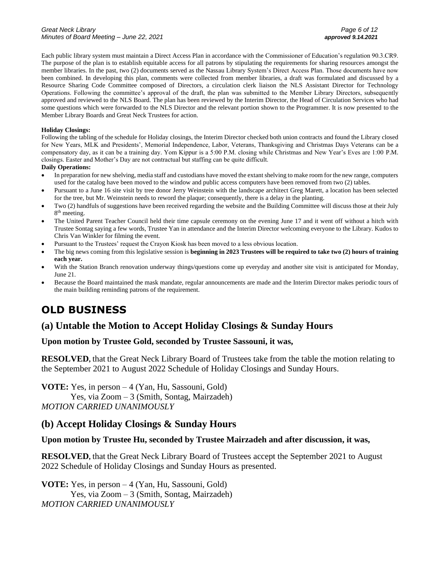Each public library system must maintain a Direct Access Plan in accordance with the Commissioner of Education's regulation 90.3.CR9. The purpose of the plan is to establish equitable access for all patrons by stipulating the requirements for sharing resources amongst the member libraries. In the past, two (2) documents served as the Nassau Library System's Direct Access Plan. Those documents have now been combined. In developing this plan, comments were collected from member libraries, a draft was formulated and discussed by a Resource Sharing Code Committee composed of Directors, a circulation clerk liaison the NLS Assistant Director for Technology Operations. Following the committee's approval of the draft, the plan was submitted to the Member Library Directors, subsequently approved and reviewed to the NLS Board. The plan has been reviewed by the Interim Director, the Head of Circulation Services who had some questions which were forwarded to the NLS Director and the relevant portion shown to the Programmer. It is now presented to the Member Library Boards and Great Neck Trustees for action.

#### **Holiday Closings:**

Following the tabling of the schedule for Holiday closings, the Interim Director checked both union contracts and found the Library closed for New Years, MLK and Presidents', Memorial Independence, Labor, Veterans, Thanksgiving and Christmas Days Veterans can be a compensatory day, as it can be a training day. Yom Kippur is a 5:00 P.M. closing while Christmas and New Year's Eves are 1:00 P.M. closings. Easter and Mother's Day are not contractual but staffing can be quite difficult.

#### **Daily Operations:**

- In preparation for new shelving, media staff and custodians have moved the extant shelving to make room for the new range, computers used for the catalog have been moved to the window and public access computers have been removed from two (2) tables.
- Pursuant to a June 16 site visit by tree donor Jerry Weinstein with the landscape architect Greg Marett, a location has been selected for the tree, but Mr. Weinstein needs to reword the plaque; consequently, there is a delay in the planting.
- Two (2) handfuls of suggestions have been received regarding the website and the Building Committee will discuss those at their July 8<sup>th</sup> meeting.
- The United Parent Teacher Council held their time capsule ceremony on the evening June 17 and it went off without a hitch with Trustee Sontag saying a few words, Trustee Yan in attendance and the Interim Director welcoming everyone to the Library. Kudos to Chris Van Winkler for filming the event.
- Pursuant to the Trustees' request the Crayon Kiosk has been moved to a less obvious location.
- The big news coming from this legislative session is **beginning in 2023 Trustees will be required to take two (2) hours of training each year.**
- With the Station Branch renovation underway things/questions come up everyday and another site visit is anticipated for Monday, June 21.
- Because the Board maintained the mask mandate, regular announcements are made and the Interim Director makes periodic tours of the main building reminding patrons of the requirement.

# **OLD BUSINESS**

## **(a) Untable the Motion to Accept Holiday Closings & Sunday Hours**

#### **Upon motion by Trustee Gold, seconded by Trustee Sassouni, it was,**

**RESOLVED,** that the Great Neck Library Board of Trustees take from the table the motion relating to the September 2021 to August 2022 Schedule of Holiday Closings and Sunday Hours.

**VOTE:** Yes, in person – 4 (Yan, Hu, Sassouni, Gold) Yes, via Zoom – 3 (Smith, Sontag, Mairzadeh) *MOTION CARRIED UNANIMOUSLY* 

## **(b) Accept Holiday Closings & Sunday Hours**

#### **Upon motion by Trustee Hu, seconded by Trustee Mairzadeh and after discussion, it was,**

**RESOLVED,** that the Great Neck Library Board of Trustees accept the September 2021 to August 2022 Schedule of Holiday Closings and Sunday Hours as presented.

**VOTE:** Yes, in person – 4 (Yan, Hu, Sassouni, Gold) Yes, via Zoom – 3 (Smith, Sontag, Mairzadeh) *MOTION CARRIED UNANIMOUSLY*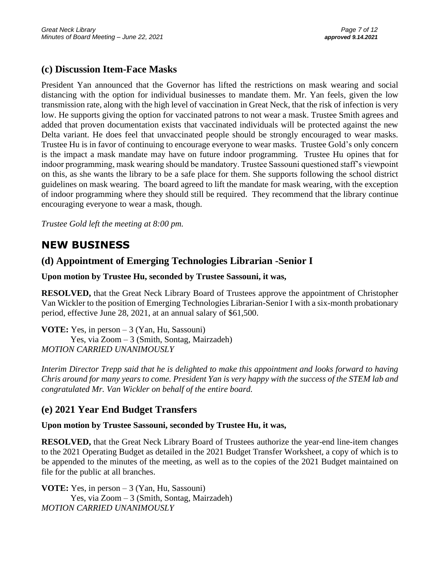## **(c) Discussion Item-Face Masks**

President Yan announced that the Governor has lifted the restrictions on mask wearing and social distancing with the option for individual businesses to mandate them. Mr. Yan feels, given the low transmission rate, along with the high level of vaccination in Great Neck, that the risk of infection is very low. He supports giving the option for vaccinated patrons to not wear a mask. Trustee Smith agrees and added that proven documentation exists that vaccinated individuals will be protected against the new Delta variant. He does feel that unvaccinated people should be strongly encouraged to wear masks. Trustee Hu is in favor of continuing to encourage everyone to wear masks. Trustee Gold's only concern is the impact a mask mandate may have on future indoor programming. Trustee Hu opines that for indoor programming, mask wearing should be mandatory. Trustee Sassouni questioned staff's viewpoint on this, as she wants the library to be a safe place for them. She supports following the school district guidelines on mask wearing. The board agreed to lift the mandate for mask wearing, with the exception of indoor programming where they should still be required. They recommend that the library continue encouraging everyone to wear a mask, though.

*Trustee Gold left the meeting at 8:00 pm.*

# **NEW BUSINESS**

## **(d) Appointment of Emerging Technologies Librarian -Senior I**

**Upon motion by Trustee Hu, seconded by Trustee Sassouni, it was,**

**RESOLVED,** that the Great Neck Library Board of Trustees approve the appointment of Christopher Van Wickler to the position of Emerging Technologies Librarian-Senior I with a six-month probationary period, effective June 28, 2021, at an annual salary of \$61,500.

**VOTE:** Yes, in person – 3 (Yan, Hu, Sassouni) Yes, via Zoom – 3 (Smith, Sontag, Mairzadeh) *MOTION CARRIED UNANIMOUSLY* 

*Interim Director Trepp said that he is delighted to make this appointment and looks forward to having Chris around for many years to come. President Yan is very happy with the success of the STEM lab and congratulated Mr. Van Wickler on behalf of the entire board.*

## **(e) 2021 Year End Budget Transfers**

### **Upon motion by Trustee Sassouni, seconded by Trustee Hu, it was,**

**RESOLVED,** that the Great Neck Library Board of Trustees authorize the year-end line-item changes to the 2021 Operating Budget as detailed in the 2021 Budget Transfer Worksheet, a copy of which is to be appended to the minutes of the meeting, as well as to the copies of the 2021 Budget maintained on file for the public at all branches.

**VOTE:** Yes, in person – 3 (Yan, Hu, Sassouni) Yes, via Zoom – 3 (Smith, Sontag, Mairzadeh) *MOTION CARRIED UNANIMOUSLY*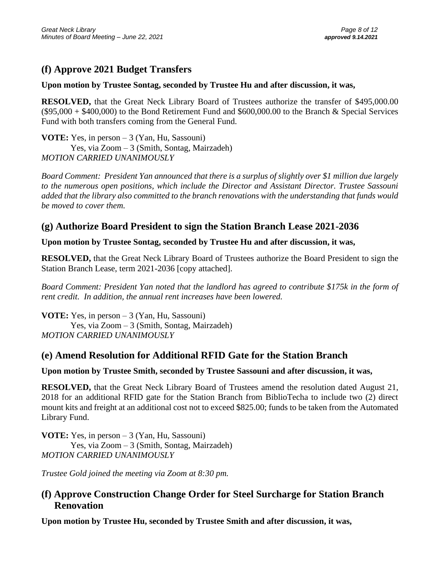# **(f) Approve 2021 Budget Transfers**

### **Upon motion by Trustee Sontag, seconded by Trustee Hu and after discussion, it was,**

**RESOLVED,** that the Great Neck Library Board of Trustees authorize the transfer of \$495,000.00  $(\$95,000 + \$400,000)$  to the Bond Retirement Fund and \$600,000.00 to the Branch & Special Services Fund with both transfers coming from the General Fund.

**VOTE:** Yes, in person – 3 (Yan, Hu, Sassouni) Yes, via Zoom – 3 (Smith, Sontag, Mairzadeh) *MOTION CARRIED UNANIMOUSLY* 

*Board Comment: President Yan announced that there is a surplus of slightly over \$1 million due largely to the numerous open positions, which include the Director and Assistant Director. Trustee Sassouni added that the library also committed to the branch renovations with the understanding that funds would be moved to cover them.*

# **(g) Authorize Board President to sign the Station Branch Lease 2021-2036**

### **Upon motion by Trustee Sontag, seconded by Trustee Hu and after discussion, it was,**

**RESOLVED,** that the Great Neck Library Board of Trustees authorize the Board President to sign the Station Branch Lease, term 2021-2036 [copy attached].

*Board Comment: President Yan noted that the landlord has agreed to contribute \$175k in the form of rent credit. In addition, the annual rent increases have been lowered.* 

**VOTE:** Yes, in person – 3 (Yan, Hu, Sassouni) Yes, via Zoom – 3 (Smith, Sontag, Mairzadeh) *MOTION CARRIED UNANIMOUSLY* 

## **(e) Amend Resolution for Additional RFID Gate for the Station Branch**

## **Upon motion by Trustee Smith, seconded by Trustee Sassouni and after discussion, it was,**

**RESOLVED,** that the Great Neck Library Board of Trustees amend the resolution dated August 21, 2018 for an additional RFID gate for the Station Branch from BiblioTecha to include two (2) direct mount kits and freight at an additional cost not to exceed \$825.00; funds to be taken from the Automated Library Fund.

**VOTE:** Yes, in person – 3 (Yan, Hu, Sassouni) Yes, via Zoom – 3 (Smith, Sontag, Mairzadeh) *MOTION CARRIED UNANIMOUSLY* 

*Trustee Gold joined the meeting via Zoom at 8:30 pm.*

## **(f) Approve Construction Change Order for Steel Surcharge for Station Branch Renovation**

**Upon motion by Trustee Hu, seconded by Trustee Smith and after discussion, it was,**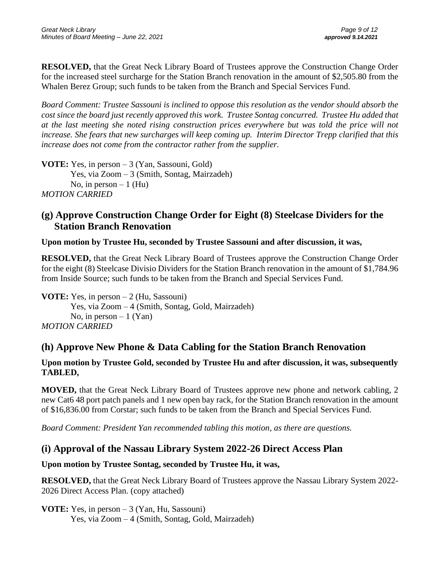**RESOLVED,** that the Great Neck Library Board of Trustees approve the Construction Change Order for the increased steel surcharge for the Station Branch renovation in the amount of \$2,505.80 from the Whalen Berez Group; such funds to be taken from the Branch and Special Services Fund.

*Board Comment: Trustee Sassouni is inclined to oppose this resolution as the vendor should absorb the cost since the board just recently approved this work. Trustee Sontag concurred. Trustee Hu added that at the last meeting she noted rising construction prices everywhere but was told the price will not increase. She fears that new surcharges will keep coming up. Interim Director Trepp clarified that this increase does not come from the contractor rather from the supplier.*

**VOTE:** Yes, in person – 3 (Yan, Sassouni, Gold) Yes, via Zoom – 3 (Smith, Sontag, Mairzadeh) No, in person  $-1$  (Hu) *MOTION CARRIED*

## **(g) Approve Construction Change Order for Eight (8) Steelcase Dividers for the Station Branch Renovation**

### **Upon motion by Trustee Hu, seconded by Trustee Sassouni and after discussion, it was,**

**RESOLVED,** that the Great Neck Library Board of Trustees approve the Construction Change Order for the eight (8) Steelcase Divisio Dividers for the Station Branch renovation in the amount of \$1,784.96 from Inside Source; such funds to be taken from the Branch and Special Services Fund.

**VOTE:** Yes, in person – 2 (Hu, Sassouni) Yes, via Zoom – 4 (Smith, Sontag, Gold, Mairzadeh) No, in person  $-1$  (Yan) *MOTION CARRIED*

## **(h) Approve New Phone & Data Cabling for the Station Branch Renovation**

### **Upon motion by Trustee Gold, seconded by Trustee Hu and after discussion, it was, subsequently TABLED,**

**MOVED,** that the Great Neck Library Board of Trustees approve new phone and network cabling, 2 new Cat6 48 port patch panels and 1 new open bay rack, for the Station Branch renovation in the amount of \$16,836.00 from Corstar; such funds to be taken from the Branch and Special Services Fund.

*Board Comment: President Yan recommended tabling this motion, as there are questions.* 

## **(i) Approval of the Nassau Library System 2022-26 Direct Access Plan**

### **Upon motion by Trustee Sontag, seconded by Trustee Hu, it was,**

**RESOLVED,** that the Great Neck Library Board of Trustees approve the Nassau Library System 2022- 2026 Direct Access Plan. (copy attached)

**VOTE:** Yes, in person – 3 (Yan, Hu, Sassouni) Yes, via Zoom – 4 (Smith, Sontag, Gold, Mairzadeh)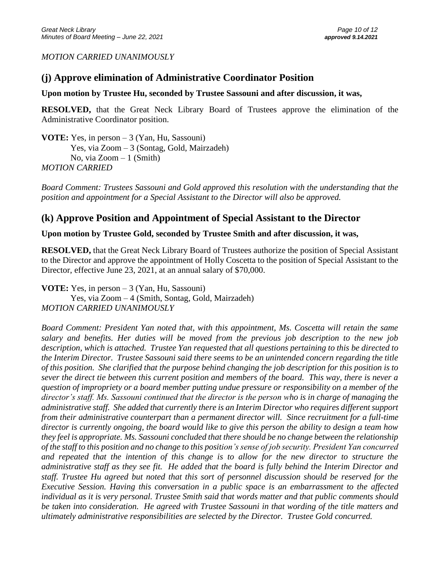#### *MOTION CARRIED UNANIMOUSLY*

## **(j) Approve elimination of Administrative Coordinator Position**

#### **Upon motion by Trustee Hu, seconded by Trustee Sassouni and after discussion, it was,**

**RESOLVED,** that the Great Neck Library Board of Trustees approve the elimination of the Administrative Coordinator position.

**VOTE:** Yes, in person – 3 (Yan, Hu, Sassouni) Yes, via Zoom – 3 (Sontag, Gold, Mairzadeh) No, via  $Zoom - 1$  (Smith) *MOTION CARRIED*

*Board Comment: Trustees Sassouni and Gold approved this resolution with the understanding that the position and appointment for a Special Assistant to the Director will also be approved.* 

## **(k) Approve Position and Appointment of Special Assistant to the Director**

**Upon motion by Trustee Gold, seconded by Trustee Smith and after discussion, it was,**

**RESOLVED,** that the Great Neck Library Board of Trustees authorize the position of Special Assistant to the Director and approve the appointment of Holly Coscetta to the position of Special Assistant to the Director, effective June 23, 2021, at an annual salary of \$70,000.

**VOTE:** Yes, in person – 3 (Yan, Hu, Sassouni) Yes, via Zoom – 4 (Smith, Sontag, Gold, Mairzadeh) *MOTION CARRIED UNANIMOUSLY* 

*Board Comment: President Yan noted that, with this appointment, Ms. Coscetta will retain the same salary and benefits. Her duties will be moved from the previous job description to the new job description, which is attached. Trustee Yan requested that all questions pertaining to this be directed to the Interim Director. Trustee Sassouni said there seems to be an unintended concern regarding the title of this position. She clarified that the purpose behind changing the job description for this position is to sever the direct tie between this current position and members of the board. This way, there is never a question of impropriety or a board member putting undue pressure or responsibility on a member of the director's staff. Ms. Sassouni continued that the director is the person who is in charge of managing the administrative staff. She added that currently there is an Interim Director who requires different support from their administrative counterpart than a permanent director will. Since recruitment for a full-time director is currently ongoing, the board would like to give this person the ability to design a team how they feel is appropriate. Ms. Sassouni concluded that there should be no change between the relationship of the staff to this position and no change to this position's sense of job security. President Yan concurred and repeated that the intention of this change is to allow for the new director to structure the administrative staff as they see fit. He added that the board is fully behind the Interim Director and staff. Trustee Hu agreed but noted that this sort of personnel discussion should be reserved for the Executive Session. Having this conversation in a public space is an embarrassment to the affected individual as it is very personal. Trustee Smith said that words matter and that public comments should be taken into consideration. He agreed with Trustee Sassouni in that wording of the title matters and ultimately administrative responsibilities are selected by the Director. Trustee Gold concurred.*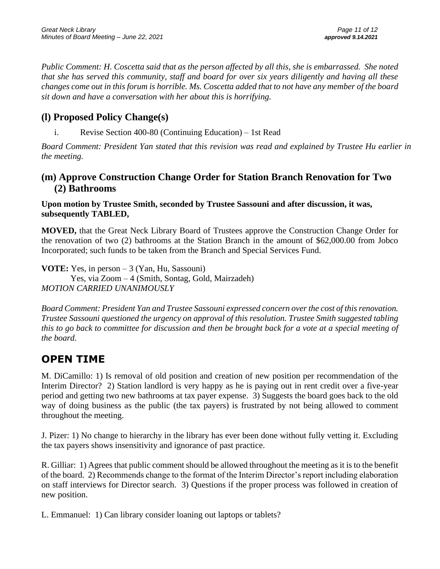*Public Comment: H. Coscetta said that as the person affected by all this, she is embarrassed. She noted that she has served this community, staff and board for over six years diligently and having all these changes come out in this forum is horrible. Ms. Coscetta added that to not have any member of the board sit down and have a conversation with her about this is horrifying.*

# **(l) Proposed Policy Change(s)**

i. Revise Section 400-80 (Continuing Education) – 1st Read

*Board Comment: President Yan stated that this revision was read and explained by Trustee Hu earlier in the meeting.*

## **(m) Approve Construction Change Order for Station Branch Renovation for Two (2) Bathrooms**

### **Upon motion by Trustee Smith, seconded by Trustee Sassouni and after discussion, it was, subsequently TABLED,**

**MOVED,** that the Great Neck Library Board of Trustees approve the Construction Change Order for the renovation of two (2) bathrooms at the Station Branch in the amount of \$62,000.00 from Jobco Incorporated; such funds to be taken from the Branch and Special Services Fund.

**VOTE:** Yes, in person – 3 (Yan, Hu, Sassouni) Yes, via Zoom – 4 (Smith, Sontag, Gold, Mairzadeh) *MOTION CARRIED UNANIMOUSLY*

*Board Comment: President Yan and Trustee Sassouni expressed concern over the cost of this renovation. Trustee Sassouni questioned the urgency on approval of this resolution. Trustee Smith suggested tabling this to go back to committee for discussion and then be brought back for a vote at a special meeting of the board.* 

# **OPEN TIME**

M. DiCamillo: 1) Is removal of old position and creation of new position per recommendation of the Interim Director? 2) Station landlord is very happy as he is paying out in rent credit over a five-year period and getting two new bathrooms at tax payer expense. 3) Suggests the board goes back to the old way of doing business as the public (the tax payers) is frustrated by not being allowed to comment throughout the meeting.

J. Pizer: 1) No change to hierarchy in the library has ever been done without fully vetting it. Excluding the tax payers shows insensitivity and ignorance of past practice.

R. Gilliar: 1) Agrees that public comment should be allowed throughout the meeting as it is to the benefit of the board. 2) Recommends change to the format of the Interim Director's report including elaboration on staff interviews for Director search. 3) Questions if the proper process was followed in creation of new position.

L. Emmanuel: 1) Can library consider loaning out laptops or tablets?